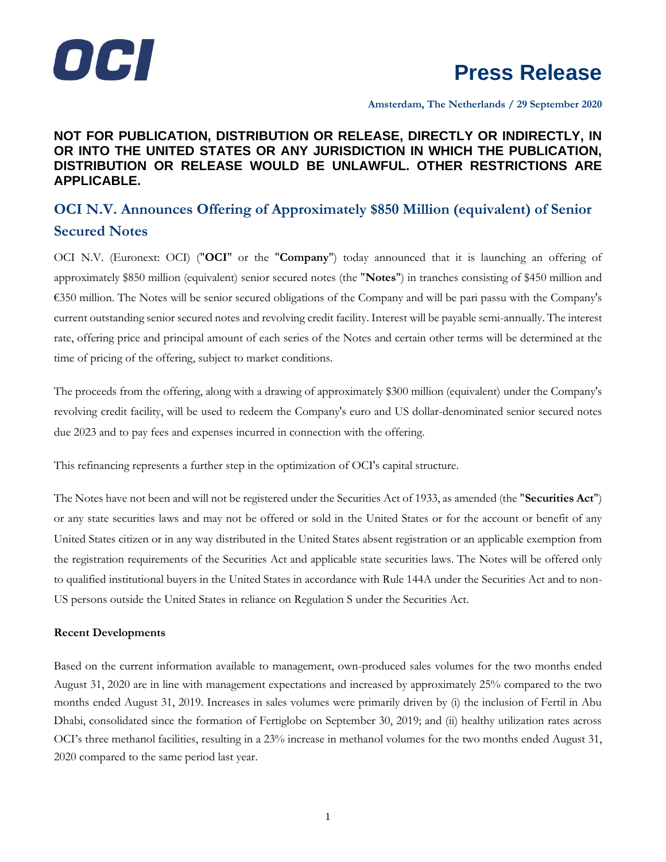

**Amsterdam, The Netherlands / 29 September 2020**

# **NOT FOR PUBLICATION, DISTRIBUTION OR RELEASE, DIRECTLY OR INDIRECTLY, IN OR INTO THE UNITED STATES OR ANY JURISDICTION IN WHICH THE PUBLICATION, DISTRIBUTION OR RELEASE WOULD BE UNLAWFUL. OTHER RESTRICTIONS ARE APPLICABLE.**

# **OCI N.V. Announces Offering of Approximately \$850 Million (equivalent) of Senior Secured Notes**

OCI N.V. (Euronext: OCI) ("**OCI**" or the "**Company**") today announced that it is launching an offering of approximately \$850 million (equivalent) senior secured notes (the "**Notes**") in tranches consisting of \$450 million and €350 million. The Notes will be senior secured obligations of the Company and will be pari passu with the Company's current outstanding senior secured notes and revolving credit facility. Interest will be payable semi-annually. The interest rate, offering price and principal amount of each series of the Notes and certain other terms will be determined at the time of pricing of the offering, subject to market conditions.

The proceeds from the offering, along with a drawing of approximately \$300 million (equivalent) under the Company's revolving credit facility, will be used to redeem the Company's euro and US dollar-denominated senior secured notes due 2023 and to pay fees and expenses incurred in connection with the offering.

This refinancing represents a further step in the optimization of OCI's capital structure.

The Notes have not been and will not be registered under the Securities Act of 1933, as amended (the "**Securities Act**") or any state securities laws and may not be offered or sold in the United States or for the account or benefit of any United States citizen or in any way distributed in the United States absent registration or an applicable exemption from the registration requirements of the Securities Act and applicable state securities laws. The Notes will be offered only to qualified institutional buyers in the United States in accordance with Rule 144A under the Securities Act and to non-US persons outside the United States in reliance on Regulation S under the Securities Act.

### **Recent Developments**

Based on the current information available to management, own-produced sales volumes for the two months ended August 31, 2020 are in line with management expectations and increased by approximately 25% compared to the two months ended August 31, 2019. Increases in sales volumes were primarily driven by (i) the inclusion of Fertil in Abu Dhabi, consolidated since the formation of Fertiglobe on September 30, 2019; and (ii) healthy utilization rates across OCI's three methanol facilities, resulting in a 23% increase in methanol volumes for the two months ended August 31, 2020 compared to the same period last year.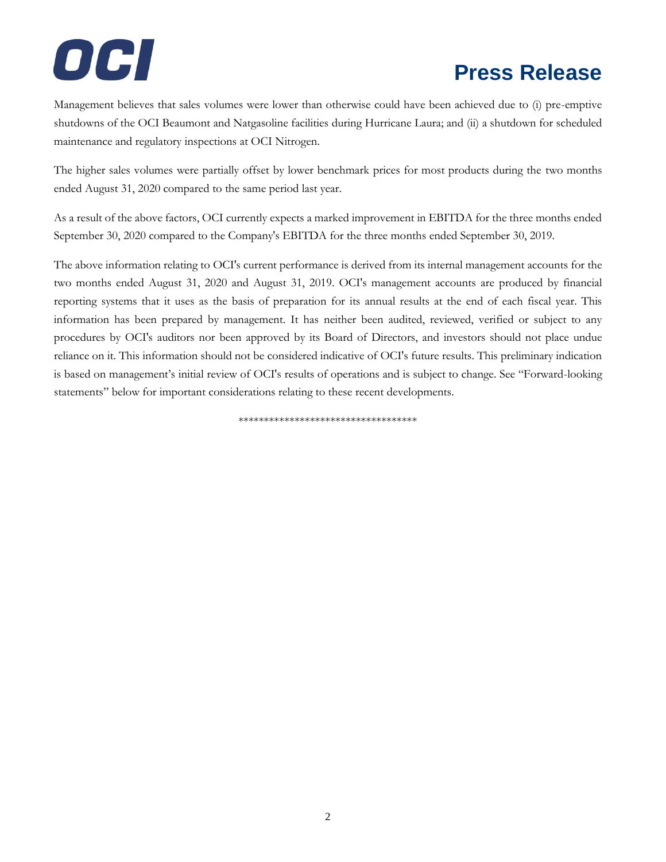# **Press Release**

Management believes that sales volumes were lower than otherwise could have been achieved due to (i) pre-emptive shutdowns of the OCI Beaumont and Natgasoline facilities during Hurricane Laura; and (ii) a shutdown for scheduled maintenance and regulatory inspections at OCI Nitrogen.

The higher sales volumes were partially offset by lower benchmark prices for most products during the two months ended August 31, 2020 compared to the same period last year.

As a result of the above factors, OCI currently expects a marked improvement in EBITDA for the three months ended September 30, 2020 compared to the Company's EBITDA for the three months ended September 30, 2019.

The above information relating to OCI's current performance is derived from its internal management accounts for the two months ended August 31, 2020 and August 31, 2019. OCI's management accounts are produced by financial reporting systems that it uses as the basis of preparation for its annual results at the end of each fiscal year. This information has been prepared by management. It has neither been audited, reviewed, verified or subject to any procedures by OCI's auditors nor been approved by its Board of Directors, and investors should not place undue reliance on it. This information should not be considered indicative of OCI's future results. This preliminary indication is based on management's initial review of OCI's results of operations and is subject to change. See "Forward-looking statements" below for important considerations relating to these recent developments.

\*\*\*\*\*\*\*\*\*\*\*\*\*\*\*\*\*\*\*\*\*\*\*\*\*\*\*\*\*\*\*\*\*\*\*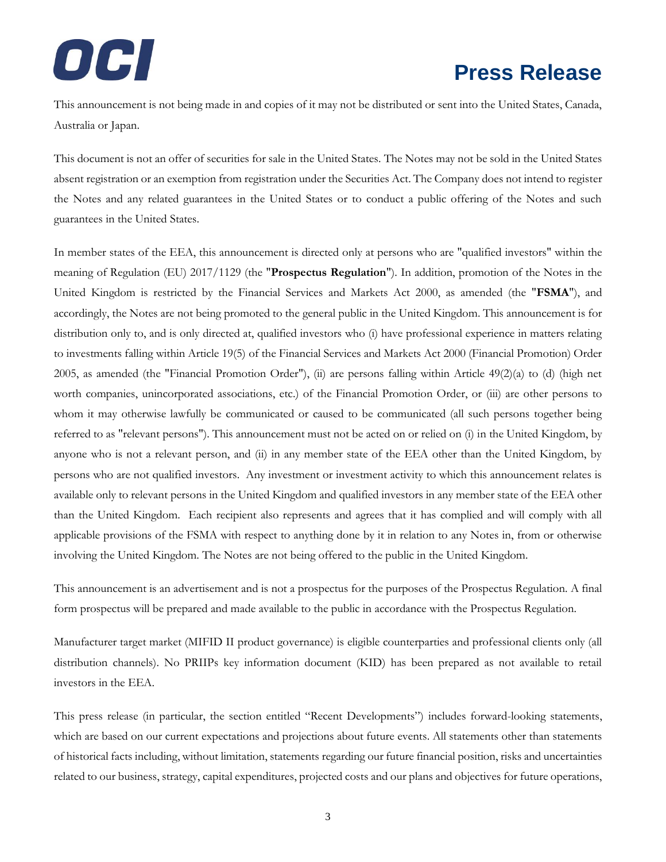# OCI

# **Press Release**

This announcement is not being made in and copies of it may not be distributed or sent into the United States, Canada, Australia or Japan.

This document is not an offer of securities for sale in the United States. The Notes may not be sold in the United States absent registration or an exemption from registration under the Securities Act. The Company does not intend to register the Notes and any related guarantees in the United States or to conduct a public offering of the Notes and such guarantees in the United States.

In member states of the EEA, this announcement is directed only at persons who are "qualified investors" within the meaning of Regulation (EU) 2017/1129 (the "**Prospectus Regulation**"). In addition, promotion of the Notes in the United Kingdom is restricted by the Financial Services and Markets Act 2000, as amended (the "**FSMA**"), and accordingly, the Notes are not being promoted to the general public in the United Kingdom. This announcement is for distribution only to, and is only directed at, qualified investors who (i) have professional experience in matters relating to investments falling within Article 19(5) of the Financial Services and Markets Act 2000 (Financial Promotion) Order 2005, as amended (the "Financial Promotion Order"), (ii) are persons falling within Article  $49(2)(a)$  to (d) (high net worth companies, unincorporated associations, etc.) of the Financial Promotion Order, or (iii) are other persons to whom it may otherwise lawfully be communicated or caused to be communicated (all such persons together being referred to as "relevant persons"). This announcement must not be acted on or relied on (i) in the United Kingdom, by anyone who is not a relevant person, and (ii) in any member state of the EEA other than the United Kingdom, by persons who are not qualified investors. Any investment or investment activity to which this announcement relates is available only to relevant persons in the United Kingdom and qualified investors in any member state of the EEA other than the United Kingdom. Each recipient also represents and agrees that it has complied and will comply with all applicable provisions of the FSMA with respect to anything done by it in relation to any Notes in, from or otherwise involving the United Kingdom. The Notes are not being offered to the public in the United Kingdom.

This announcement is an advertisement and is not a prospectus for the purposes of the Prospectus Regulation. A final form prospectus will be prepared and made available to the public in accordance with the Prospectus Regulation.

Manufacturer target market (MIFID II product governance) is eligible counterparties and professional clients only (all distribution channels). No PRIIPs key information document (KID) has been prepared as not available to retail investors in the EEA.

This press release (in particular, the section entitled "Recent Developments") includes forward-looking statements, which are based on our current expectations and projections about future events. All statements other than statements of historical facts including, without limitation, statements regarding our future financial position, risks and uncertainties related to our business, strategy, capital expenditures, projected costs and our plans and objectives for future operations,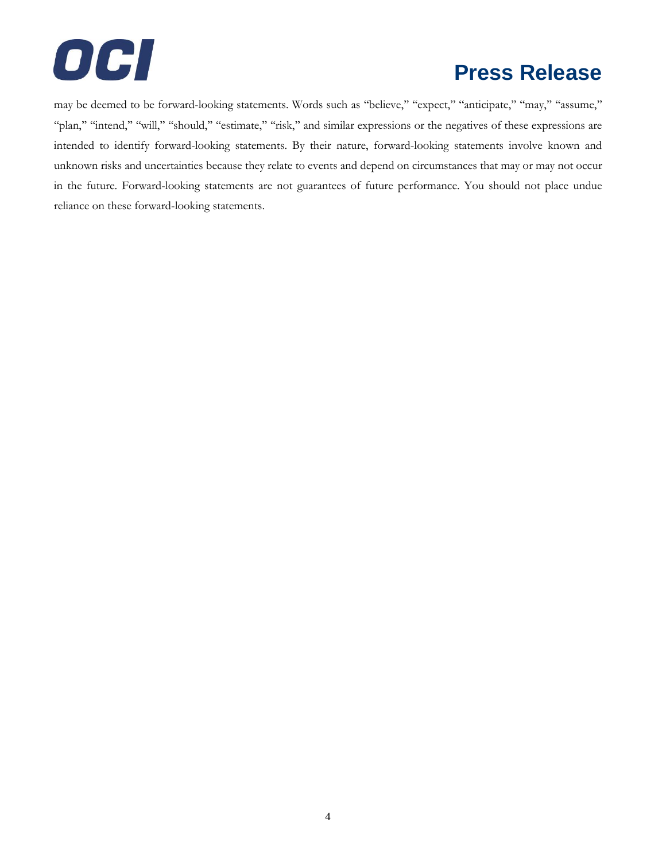

may be deemed to be forward-looking statements. Words such as "believe," "expect," "anticipate," "may," "assume," ''plan,'' ''intend,'' ''will,'' ''should,'' ''estimate,'' ''risk,'' and similar expressions or the negatives of these expressions are intended to identify forward-looking statements. By their nature, forward-looking statements involve known and unknown risks and uncertainties because they relate to events and depend on circumstances that may or may not occur in the future. Forward-looking statements are not guarantees of future performance. You should not place undue reliance on these forward-looking statements.